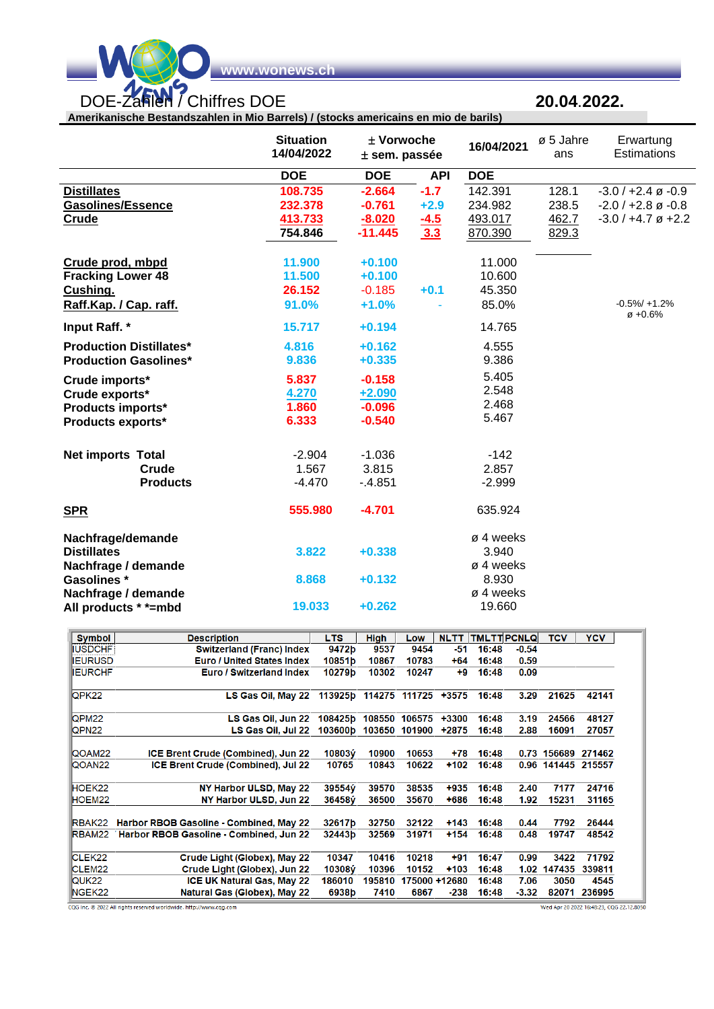

wonews.

Amerikanische Bestandszahlen in Mio Barrels) / (stocks americains en mio de barils)

## 20.04.2022.

**Situation** ± Vorwoche ø 5 Jahre Erwartung 16/04/2021 14/04/2022 Estimations  $±$  sem. passée ans **DOE DOE API DOE Distillates** 108.735  $-2.664$  $-1.7$ 142.391 128.1  $-3.0 / +2.4 \varnothing -0.9$ **Gasolines/Essence** 232.378  $-0.761$  $+2.9$ 234.982 238.5  $-2.0 / +2.8 \varnothing -0.8$ **Crude** 413.733  $-8.020$  $-4.5$ 493.017 462.7  $-3.0 / +4.7 \varnothing +2.2$ 754.846  $-11.445$  $3.3$ 829.3 870.390 Crude prod, mbpd 11.900 11.000  $+0.100$ **Fracking Lower 48** 11.500  $+0.100$ 10.600 Cushing.  $-0.185$  $+0.1$ 45.350 26.152 Raff.Kap. / Cap. raff.  $-0.5\% / +1.2\%$ 91.0%  $+1.0%$ 85.0%  $\varnothing +0.6\%$ Input Raff. \* 15.717  $+0.194$ 14.765 **Production Distillates\*** 4.816  $+0.162$ 4.555 **Production Gasolines\***  $+0.335$ 9.836 9.386 5.405 5.837 Crude imports\*  $-0.158$ 2.548 Crude exports\* 4.270  $+2.090$ 2.468 1.860  $-0.096$ Products imports\* 5.467 6.333  $-0.540$ Products exports\* **Net imports Total**  $-2.904$  $-1.036$  $-142$ 1.567 Crude 3.815 2.857 **Products**  $-2.999$  $-4.470$  $-4.851$ **SPR** 555.980  $-4.701$ 635.924 Nachfrage/demande ø 4 weeks 3.822 **Distillates**  $+0.338$ 3.940 Nachfrage / demande ø 4 weeks **Gasolines** \* 8.868  $+0.132$ 8.930 Nachfrage / demande ø 4 weeks 19.033  $+0.262$ 19.660 All products \* \*= mbd

| <b>Symbol</b>      | <b>Description</b>                             | LTS     | <b>High</b> | Low           | <b>NLTT</b> | <b>TMLTTPCNLQ</b> |                   | <b>TCV</b>         | <b>YCV</b> |
|--------------------|------------------------------------------------|---------|-------------|---------------|-------------|-------------------|-------------------|--------------------|------------|
| <b>IUSDCHF</b>     | <b>Switzerland (Franc) Index</b>               | 9472b   | 9537        | 9454          | -51         | 16:48             | $-0.54$           |                    |            |
|                    |                                                |         |             |               |             |                   |                   |                    |            |
| <b>IEURUSD</b>     | <b>Euro / United States Index</b>              | 10851b  | 10867       | 10783         | $+64$       | 16:48             | 0.59              |                    |            |
| <b>IEURCHF</b>     | <b>Euro / Switzerland Index</b>                | 10279b  | 10302       | 10247         | +9          | 16:48             | 0.09              |                    |            |
| QPK22              | LS Gas Oil, May 22                             | 113925b |             | 114275 111725 | $+3575$     | 16:48             | 3.29              | 21625              | 42141      |
| QPM <sub>22</sub>  | LS Gas Oil, Jun 22                             | 108425b |             | 108550 106575 | $+3300$     | 16:48             | 3.19              | 24566              | 48127      |
| <b>QPN22</b>       | LS Gas Oil, Jul 22                             | 103600b | 103650      | 101900        | +2875       | 16:48             | 2.88              | 16091              | 27057      |
| QOAM22             | ICE Brent Crude (Combined), Jun 22             | 10803ý  | 10900       | 10653         | $+78$       | 16:48             |                   | 0.73 156689        | 271462     |
| QOAN <sub>22</sub> | ICE Brent Crude (Combined), Jul 22             | 10765   | 10843       | 10622         | $+102$      | 16:48             |                   | 0.96 141445 215557 |            |
| HOEK22             | NY Harbor ULSD, May 22                         | 39554ý  | 39570       | 38535         | +935        | 16:48             | 2.40              | 7177               | 24716      |
| HOEM22             | NY Harbor ULSD, Jun 22                         | 36458V  | 36500       | 35670         | +686        | 16:48             | 1.92              | 15231              | 31165      |
| RBAK22             | <b>Harbor RBOB Gasoline - Combined, May 22</b> | 32617b  | 32750       | 32122         | $+143$      | 16:48             | 0.44              | 7792               | 26444      |
|                    | RBAM22 Harbor RBOB Gasoline - Combined, Jun 22 | 32443b  | 32569       | 31971         | $+154$      | 16:48             | 0.48              | 19747              | 48542      |
| CLEK <sub>22</sub> | Crude Light (Globex), May 22                   | 10347   | 10416       | 10218         | $+91$       | 16:47             | 0.99              | 3422               | 71792      |
| CLEM <sub>22</sub> | Crude Light (Globex), Jun 22                   | 10308ý  | 10396       | 10152         | $+103$      | 16:48             | 1.02 <sub>1</sub> | 147435             | 339811     |
| QUK <sub>22</sub>  | <b>ICE UK Natural Gas, May 22</b>              | 186010  | 195810      | 175000 +12680 |             | 16:48             | 7.06              | 3050               | 4545       |
| NGEK22             | Natural Gas (Globex), May 22                   | 6938b   | 7410        | 6867          | $-238$      | 16:48             | $-3.32$           | 82071              | 236995     |

CQG Inc. @ 2022 All rights reserved worldwide. http://www.cqg.com

Wed Apr 20 2022 16:48:23, CQG 22.12.8050